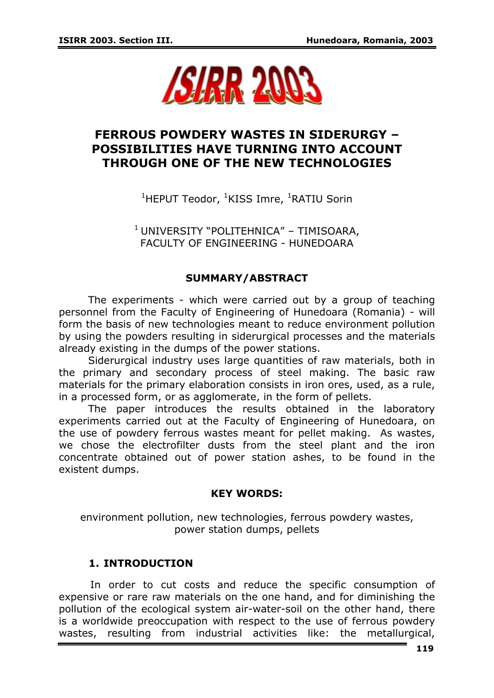

# **FERROUS POWDERY WASTES IN SIDERURGY – POSSIBILITIES HAVE TURNING INTO ACCOUNT THROUGH ONE OF THE NEW TECHNOLOGIES**

<sup>1</sup>HEPUT Teodor, <sup>1</sup>KISS Imre, <sup>1</sup>RATIU Sorin

 $^1$ UNIVERSITY "POLITEHNICA" – TIMISOARA, FACULTY OF ENGINEERING - HUNEDOARA

### **SUMMARY/ABSTRACT**

The experiments - which were carried out by a group of teaching personnel from the Faculty of Engineering of Hunedoara (Romania) - will form the basis of new technologies meant to reduce environment pollution by using the powders resulting in siderurgical processes and the materials already existing in the dumps of the power stations.

Siderurgical industry uses large quantities of raw materials, both in the primary and secondary process of steel making. The basic raw materials for the primary elaboration consists in iron ores, used, as a rule, in a processed form, or as agglomerate, in the form of pellets.

The paper introduces the results obtained in the laboratory experiments carried out at the Faculty of Engineering of Hunedoara, on the use of powdery ferrous wastes meant for pellet making. As wastes, we chose the electrofilter dusts from the steel plant and the iron concentrate obtained out of power station ashes, to be found in the existent dumps.

#### **KEY WORDS:**

environment pollution, new technologies, ferrous powdery wastes, power station dumps, pellets

# **1. INTRODUCTION**

 In order to cut costs and reduce the specific consumption of expensive or rare raw materials on the one hand, and for diminishing the pollution of the ecological system air-water-soil on the other hand, there is a worldwide preoccupation with respect to the use of ferrous powdery wastes, resulting from industrial activities like: the metallurgical,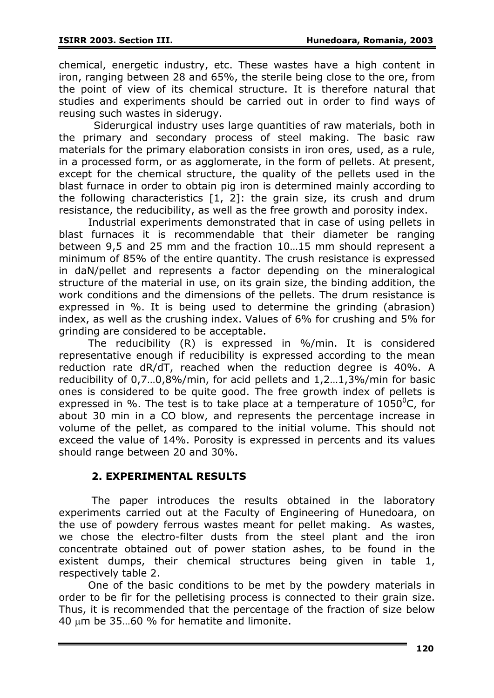chemical, energetic industry, etc. These wastes have a high content in iron, ranging between 28 and 65%, the sterile being close to the ore, from the point of view of its chemical structure. It is therefore natural that studies and experiments should be carried out in order to find ways of reusing such wastes in siderugy.

 Siderurgical industry uses large quantities of raw materials, both in the primary and secondary process of steel making. The basic raw materials for the primary elaboration consists in iron ores, used, as a rule, in a processed form, or as agglomerate, in the form of pellets. At present, except for the chemical structure, the quality of the pellets used in the blast furnace in order to obtain pig iron is determined mainly according to the following characteristics [1, 2]: the grain size, its crush and drum resistance, the reducibility, as well as the free growth and porosity index.

Industrial experiments demonstrated that in case of using pellets in blast furnaces it is recommendable that their diameter be ranging between 9,5 and 25 mm and the fraction 10…15 mm should represent a minimum of 85% of the entire quantity. The crush resistance is expressed in daN/pellet and represents a factor depending on the mineralogical structure of the material in use, on its grain size, the binding addition, the work conditions and the dimensions of the pellets. The drum resistance is expressed in %. It is being used to determine the grinding (abrasion) index, as well as the crushing index. Values of 6% for crushing and 5% for grinding are considered to be acceptable.

The reducibility (R) is expressed in %/min. It is considered representative enough if reducibility is expressed according to the mean reduction rate dR/dT, reached when the reduction degree is 40%. A reducibility of 0,7…0,8%/min, for acid pellets and 1,2…1,3%/min for basic ones is considered to be quite good. The free growth index of pellets is expressed in %. The test is to take place at a temperature of  $1050^{\circ}$ C, for about 30 min in a CO blow, and represents the percentage increase in volume of the pellet, as compared to the initial volume. This should not exceed the value of 14%. Porosity is expressed in percents and its values should range between 20 and 30%.

# **2. EXPERIMENTAL RESULTS**

 The paper introduces the results obtained in the laboratory experiments carried out at the Faculty of Engineering of Hunedoara, on the use of powdery ferrous wastes meant for pellet making. As wastes, we chose the electro-filter dusts from the steel plant and the iron concentrate obtained out of power station ashes, to be found in the existent dumps, their chemical structures being given in table 1, respectively table 2.

One of the basic conditions to be met by the powdery materials in order to be fir for the pelletising process is connected to their grain size. Thus, it is recommended that the percentage of the fraction of size below 40 μm be 35…60 % for hematite and limonite.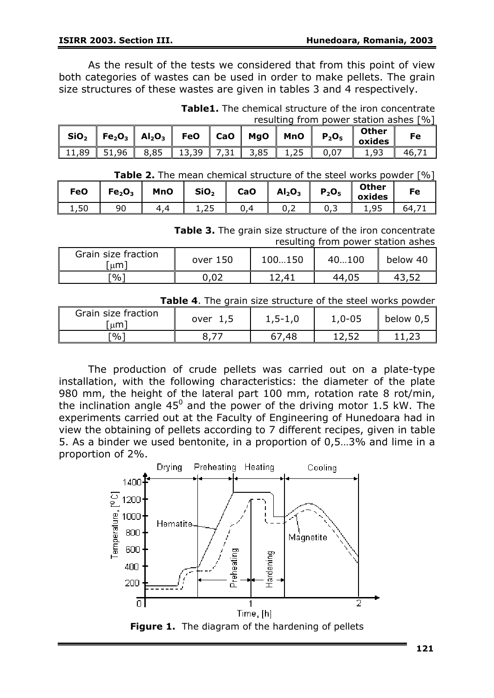As the result of the tests we considered that from this point of view both categories of wastes can be used in order to make pellets. The grain size structures of these wastes are given in tables 3 and 4 respectively.

**Table1.** The chemical structure of the iron concentrate resulting from power station ashes [%]

|                      | $\text{SiO}_2$   Fe <sub>2</sub> O <sub>3</sub>   Al <sub>2</sub> O <sub>3</sub>   FeO |         | ∥ CaO |      | $MgO$   MnO | $P_2O_5$ | <b>Other</b><br>oxides | Fe    |
|----------------------|----------------------------------------------------------------------------------------|---------|-------|------|-------------|----------|------------------------|-------|
| 11,89   51,96   8,85 |                                                                                        | $13,39$ | 7,31  | 3,85 | 1,25        | 0,07     | 1,93                   | 46.71 |

| <b>Table 2.</b> The mean chemical structure of the steel works powder [%] |  |  |
|---------------------------------------------------------------------------|--|--|
|---------------------------------------------------------------------------|--|--|

| <b>FeO</b> | Fe <sub>2</sub> O <sub>3</sub> | <b>MnO</b> | SiO <sub>2</sub> | <b>CaO</b><br>a ka | AI <sub>2</sub> O <sub>3</sub> | $P_2O_5$ | <b>Other</b><br>oxides | Fe |
|------------|--------------------------------|------------|------------------|--------------------|--------------------------------|----------|------------------------|----|
| 50<br>1,JU | 90                             |            | ᆠᆺ               |                    | ◡.∠                            | ັບ ,     | o۵                     | ьΔ |

**Table 3.** The grain size structure of the iron concentrate

|                           |          |        | resulting from power station ashes |          |
|---------------------------|----------|--------|------------------------------------|----------|
| Grain size fraction<br>um | over 150 | 100150 | 40100                              | below 40 |

[%] 0,02 12,41 44,05 43,52

| Table 4. The grain size structure of the steel works powder |  |  |
|-------------------------------------------------------------|--|--|
|-------------------------------------------------------------|--|--|

| Grain size fraction<br>um | over<br>1,5 | $1, 5 - 1, 0$ | $1,0-05$ | below 0,5 |
|---------------------------|-------------|---------------|----------|-----------|
| Г%`                       |             | 48,           | 12.5     |           |

The production of crude pellets was carried out on a plate-type installation, with the following characteristics: the diameter of the plate 980 mm, the height of the lateral part 100 mm, rotation rate 8 rot/min, the inclination angle  $45^0$  and the power of the driving motor 1.5 kW. The experiments carried out at the Faculty of Engineering of Hunedoara had in view the obtaining of pellets according to 7 different recipes, given in table 5. As a binder we used bentonite, in a proportion of 0,5…3% and lime in a proportion of 2%.

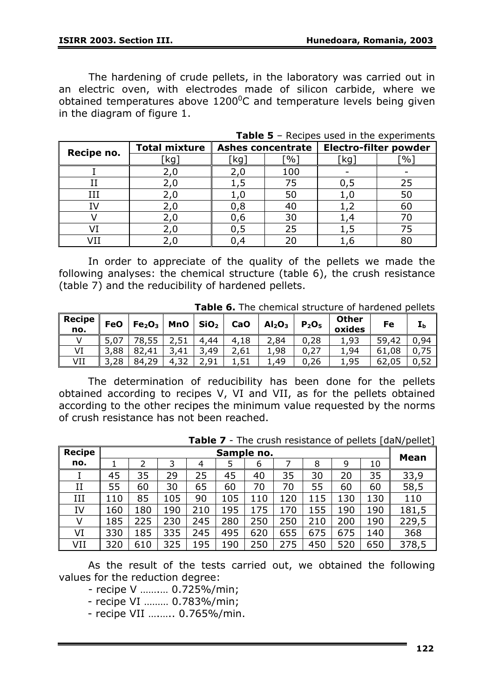The hardening of crude pellets, in the laboratory was carried out in an electric oven, with electrodes made of silicon carbide, where we obtained temperatures above  $1200^{\circ}$ C and temperature levels being given in the diagram of figure 1.

| Recipe no. | <b>Total mixture</b> |     | <b>Ashes concentrate</b> | <b>Electro-filter powder</b> |               |  |
|------------|----------------------|-----|--------------------------|------------------------------|---------------|--|
|            | kg.                  | kg  | $\%$                     | `kg                          | $\frac{1}{2}$ |  |
|            | 2,0                  | 2,0 | 100                      |                              |               |  |
|            | 2,0                  |     | 75                       | 0,5                          | 25            |  |
| IΗ         | 2,0                  | 1,0 | 50                       |                              | 50            |  |
| ī٧         | 2,0                  | 0,8 | 40                       |                              | 60            |  |
|            | 2,0                  | 0,6 | 30                       |                              |               |  |
|            | 2,0                  |     | 25                       |                              | 75            |  |
|            |                      |     | 20                       |                              | 80            |  |

**Table 5** – Recipes used in the experiments

In order to appreciate of the quality of the pellets we made the following analyses: the chemical structure (table 6), the crush resistance (table 7) and the reducibility of hardened pellets.

**Table 6.** The chemical structure of hardened pellets

| <b>Recipe</b><br>no. | <b>FeO</b> | Fe <sub>2</sub> O <sub>3</sub> | <b>MnO</b> | SiO <sub>2</sub> | CaO         | Al <sub>2</sub> O <sub>3</sub> | $P_2O_5$  | <b>Other</b><br>oxides | Fe         | ∸b  |
|----------------------|------------|--------------------------------|------------|------------------|-------------|--------------------------------|-----------|------------------------|------------|-----|
|                      |            |                                |            | 4,44             | 4,18        | ,84                            | ,28<br>0. | 1,93                   | 59,<br>,42 | 94  |
| VI                   | 3,88       | 82,41                          | .41        | 49,              | 2,61        | ,98                            | ,27<br>0. | 1,94                   | 61,08      |     |
| VII                  | 28.        | 84,29                          | 4<br>ے د.  | .91              | Б.<br>, J 1 | 49,                            | ,26<br>U  | 1,95                   | 62,05      | ∵⊃∠ |

The determination of reducibility has been done for the pellets obtained according to recipes V, VI and VII, as for the pellets obtained according to the other recipes the minimum value requested by the norms of crush resistance has not been reached.

|               |     |     |     | . <i>.</i>     |     |            |     |     |     |     | The crash resistance or penets facily penet |  |  |  |
|---------------|-----|-----|-----|----------------|-----|------------|-----|-----|-----|-----|---------------------------------------------|--|--|--|
| <b>Recipe</b> |     |     |     |                |     | Sample no. |     |     |     |     | Mean                                        |  |  |  |
| no.           |     |     | 3   | $\overline{4}$ |     | 6          |     | 8   | 9   | 10  |                                             |  |  |  |
|               | 45  | 35  | 29  | 25             | 45  | 40         | 35  | 30  | 20  | 35  | 33,9                                        |  |  |  |
| II            | 55  | 60  | 30  | 65             | 60  | 70         | 70  | 55  | 60  | 60  | 58,5                                        |  |  |  |
| IΗ            | 110 | 85  | 105 | 90             | 105 | 110        | 120 | 115 | 130 | 130 | 110                                         |  |  |  |
| IV            | 160 | 180 | 190 | 210            | 195 | 175        | 170 | 155 | 190 | 190 | 181,5                                       |  |  |  |
| V             | 185 | 225 | 230 | 245            | 280 | 250        | 250 | 210 | 200 | 190 | 229,5                                       |  |  |  |
| VI            | 330 | 185 | 335 | 245            | 495 | 620        | 655 | 675 | 675 | 140 | 368                                         |  |  |  |
| VII           | 320 | 610 | 325 | 195            | 190 | 250        | 275 | 450 | 520 | 650 | 378,5                                       |  |  |  |

**Table 7** - The crush resistance of pellets [daN/pellet]

As the result of the tests carried out, we obtained the following values for the reduction degree:

- recipe V …….… 0.725%/min;

- recipe VI ……… 0.783%/min;

- recipe VII ….….. 0.765%/min.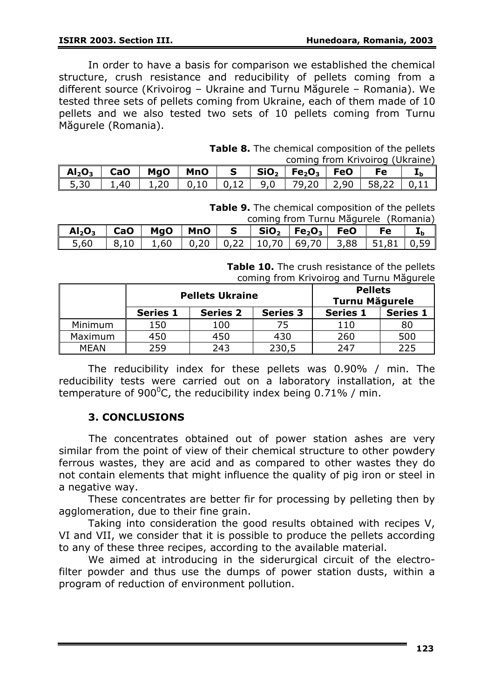In order to have a basis for comparison we established the chemical structure, crush resistance and reducibility of pellets coming from a different source (Krivoirog – Ukraine and Turnu Măgurele – Romania). We tested three sets of pellets coming from Ukraine, each of them made of 10 pellets and we also tested two sets of 10 pellets coming from Turnu Măgurele (Romania).

| <b>Table 8.</b> The chemical composition of the pellets |  |
|---------------------------------------------------------|--|
| coming from Krivoirog (Ukraine)                         |  |

| Al $_2$ O $_3$   CaO   MgO   MnO   S   SiO $_2$   Fe $_2$ O $_3$   FeO |      |  |  |  | Fe                                                     |  |
|------------------------------------------------------------------------|------|--|--|--|--------------------------------------------------------|--|
| 5,30                                                                   | 1,40 |  |  |  | 1,20   0,10   0,12   9,0   79,20   2,90   58,22   0,11 |  |

**Table 9.** The chemical composition of the pellets coming from Turnu Măgurele *(Ron* 

| COMMIQ Tront Turnu Magurele (Romania)                   |  |                                                                 |  |  |  |                                                                                |  |  |  |
|---------------------------------------------------------|--|-----------------------------------------------------------------|--|--|--|--------------------------------------------------------------------------------|--|--|--|
| $\mathsf{Al}_2\mathsf{O}_3$ $\parallel$ CaO $\parallel$ |  |                                                                 |  |  |  | $MgO$   MnO   S   SiO <sub>2</sub>   Fe <sub>2</sub> O <sub>3</sub>   FeO   Fe |  |  |  |
| 5,60                                                    |  | 8,10   1,60   0,20   0,22   10,70   69,70   3,88   51,81   0,59 |  |  |  |                                                                                |  |  |  |

**Table 10.** The crush resistance of the pellets coming from Krivoirog and Turnu Măgurele

|             | <b>Pellets Ukraine</b> |                 |                 | <b>Pellets</b><br><b>Turnu Măgurele</b> |                 |
|-------------|------------------------|-----------------|-----------------|-----------------------------------------|-----------------|
|             | <b>Series 1</b>        | <b>Series 2</b> | <b>Series 3</b> | <b>Series 1</b>                         | <b>Series 1</b> |
| Minimum     | 150                    | 100             |                 | 110                                     | 80              |
| Maximum     | 450                    | 450             | 430             | 260                                     | 500             |
| <b>MEAN</b> | 259                    | 243             | 230,5           | 247                                     | 225             |

The reducibility index for these pellets was 0.90% / min. The reducibility tests were carried out on a laboratory installation, at the temperature of 900<sup>0</sup>C, the reducibility index being 0.71% / min.

#### **3. CONCLUSIONS**

 The concentrates obtained out of power station ashes are very similar from the point of view of their chemical structure to other powdery ferrous wastes, they are acid and as compared to other wastes they do not contain elements that might influence the quality of pig iron or steel in a negative way.

These concentrates are better fir for processing by pelleting then by agglomeration, due to their fine grain.

Taking into consideration the good results obtained with recipes V, VI and VII, we consider that it is possible to produce the pellets according to any of these three recipes, according to the available material.

We aimed at introducing in the siderurgical circuit of the electrofilter powder and thus use the dumps of power station dusts, within a program of reduction of environment pollution.